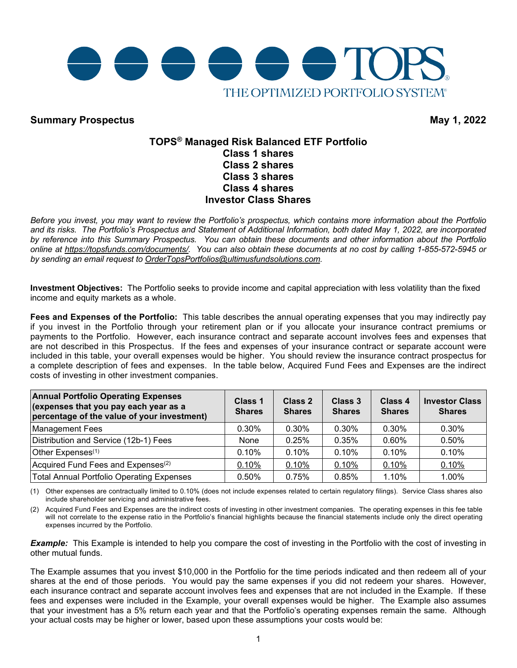

## **Summary Prospectus May 1, 2022**

### **TOPS® Managed Risk Balanced ETF Portfolio Class 1 shares Class 2 shares Class 3 shares Class 4 shares Investor Class Shares**

Before you invest, you may want to review the Portfolio's prospectus, which contains more information about the Portfolio *and its risks. The Portfolio's Prospectus and Statement of Additional Information, both dated May 1, 2022, are incorporated by reference into this Summary Prospectus. You can obtain these documents and other information about the Portfolio online at [https://topsfunds.com/documents/.](https://topsfunds.com/documents/) You can also obtain these documents at no cost by calling 1-855-572-5945 or by sending an email request to [OrderTopsPortfolios@ultimusfundsolutions.com.](mailto:OrderTopsPortfolios@ultimusfundsolutions.com)* 

**Investment Objectives:** The Portfolio seeks to provide income and capital appreciation with less volatility than the fixed income and equity markets as a whole.

**Fees and Expenses of the Portfolio:** This table describes the annual operating expenses that you may indirectly pay if you invest in the Portfolio through your retirement plan or if you allocate your insurance contract premiums or payments to the Portfolio. However, each insurance contract and separate account involves fees and expenses that are not described in this Prospectus. If the fees and expenses of your insurance contract or separate account were included in this table, your overall expenses would be higher. You should review the insurance contract prospectus for a complete description of fees and expenses. In the table below, Acquired Fund Fees and Expenses are the indirect costs of investing in other investment companies.

| <b>Annual Portfolio Operating Expenses</b><br>(expenses that you pay each year as a<br>percentage of the value of your investment) | Class 1<br><b>Shares</b> | Class 2<br><b>Shares</b> | Class 3<br><b>Shares</b> | Class 4<br><b>Shares</b> | <b>Investor Class</b><br><b>Shares</b> |
|------------------------------------------------------------------------------------------------------------------------------------|--------------------------|--------------------------|--------------------------|--------------------------|----------------------------------------|
| <b>Management Fees</b>                                                                                                             | 0.30%                    | $0.30\%$                 | $0.30\%$                 | 0.30%                    | $0.30\%$                               |
| Distribution and Service (12b-1) Fees                                                                                              | None                     | 0.25%                    | 0.35%                    | $0.60\%$                 | $0.50\%$                               |
| Other Expenses <sup>(1)</sup>                                                                                                      | 0.10%                    | 0.10%                    | 0.10%                    | 0.10%                    | 0.10%                                  |
| Acquired Fund Fees and Expenses <sup>(2)</sup>                                                                                     | 0.10%                    | 0.10%                    | 0.10%                    | 0.10%                    | 0.10%                                  |
| <b>Total Annual Portfolio Operating Expenses</b>                                                                                   | 0.50%                    | 0.75%                    | 0.85%                    | 1.10%                    | 1.00%                                  |

(1) Other expenses are contractually limited to 0.10% (does not include expenses related to certain regulatory filings). Service Class shares also include shareholder servicing and administrative fees.

(2) Acquired Fund Fees and Expenses are the indirect costs of investing in other investment companies. The operating expenses in this fee table will not correlate to the expense ratio in the Portfolio's financial highlights because the financial statements include only the direct operating expenses incurred by the Portfolio.

*Example:* This Example is intended to help you compare the cost of investing in the Portfolio with the cost of investing in other mutual funds.

The Example assumes that you invest \$10,000 in the Portfolio for the time periods indicated and then redeem all of your shares at the end of those periods. You would pay the same expenses if you did not redeem your shares. However, each insurance contract and separate account involves fees and expenses that are not included in the Example. If these fees and expenses were included in the Example, your overall expenses would be higher. The Example also assumes that your investment has a 5% return each year and that the Portfolio's operating expenses remain the same. Although your actual costs may be higher or lower, based upon these assumptions your costs would be: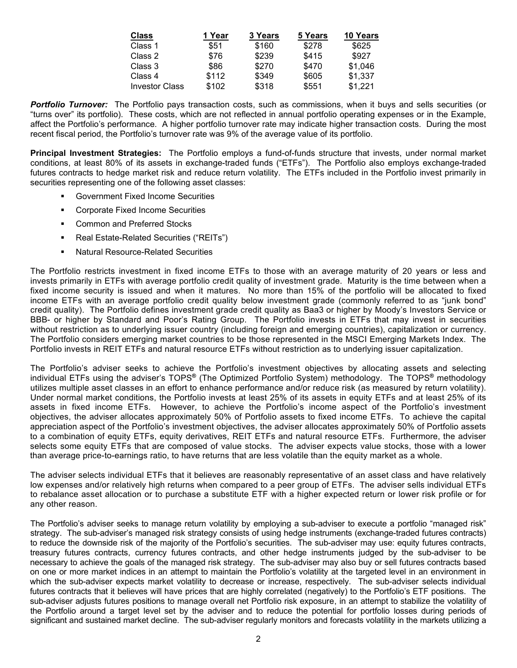| <b>Class</b>          | 1 Year | 3 Years | 5 Years | 10 Years |
|-----------------------|--------|---------|---------|----------|
| Class 1               | \$51   | \$160   | \$278   | \$625    |
| Class 2               | \$76   | \$239   | \$415   | \$927    |
| Class 3               | \$86   | \$270   | \$470   | \$1,046  |
| Class 4               | \$112  | \$349   | \$605   | \$1,337  |
| <b>Investor Class</b> | \$102  | \$318   | \$551   | \$1,221  |

*Portfolio Turnover:* The Portfolio pays transaction costs, such as commissions, when it buys and sells securities (or "turns over" its portfolio). These costs, which are not reflected in annual portfolio operating expenses or in the Example, affect the Portfolio's performance. A higher portfolio turnover rate may indicate higher transaction costs. During the most recent fiscal period, the Portfolio's turnover rate was 9% of the average value of its portfolio.

**Principal Investment Strategies:** The Portfolio employs a fund-of-funds structure that invests, under normal market conditions, at least 80% of its assets in exchange-traded funds ("ETFs"). The Portfolio also employs exchange-traded futures contracts to hedge market risk and reduce return volatility. The ETFs included in the Portfolio invest primarily in securities representing one of the following asset classes:

- Government Fixed Income Securities
- **EXECORDITE:** Corporate Fixed Income Securities
- **Common and Preferred Stocks**
- Real Estate-Related Securities ("REITs")
- Natural Resource-Related Securities

The Portfolio restricts investment in fixed income ETFs to those with an average maturity of 20 years or less and invests primarily in ETFs with average portfolio credit quality of investment grade. Maturity is the time between when a fixed income security is issued and when it matures. No more than 15% of the portfolio will be allocated to fixed income ETFs with an average portfolio credit quality below investment grade (commonly referred to as "junk bond" credit quality). The Portfolio defines investment grade credit quality as Baa3 or higher by Moody's Investors Service or BBB- or higher by Standard and Poor's Rating Group. The Portfolio invests in ETFs that may invest in securities without restriction as to underlying issuer country (including foreign and emerging countries), capitalization or currency. The Portfolio considers emerging market countries to be those represented in the MSCI Emerging Markets Index. The Portfolio invests in REIT ETFs and natural resource ETFs without restriction as to underlying issuer capitalization.

The Portfolio's adviser seeks to achieve the Portfolio's investment objectives by allocating assets and selecting individual ETFs using the adviser's TOPS**®** (The Optimized Portfolio System) methodology. The TOPS**®** methodology utilizes multiple asset classes in an effort to enhance performance and/or reduce risk (as measured by return volatility). Under normal market conditions, the Portfolio invests at least 25% of its assets in equity ETFs and at least 25% of its assets in fixed income ETFs. However, to achieve the Portfolio's income aspect of the Portfolio's investment objectives, the adviser allocates approximately 50% of Portfolio assets to fixed income ETFs. To achieve the capital appreciation aspect of the Portfolio's investment objectives, the adviser allocates approximately 50% of Portfolio assets to a combination of equity ETFs, equity derivatives, REIT ETFs and natural resource ETFs. Furthermore, the adviser selects some equity ETFs that are composed of value stocks. The adviser expects value stocks, those with a lower than average price-to-earnings ratio, to have returns that are less volatile than the equity market as a whole.

The adviser selects individual ETFs that it believes are reasonably representative of an asset class and have relatively low expenses and/or relatively high returns when compared to a peer group of ETFs. The adviser sells individual ETFs to rebalance asset allocation or to purchase a substitute ETF with a higher expected return or lower risk profile or for any other reason.

The Portfolio's adviser seeks to manage return volatility by employing a sub-adviser to execute a portfolio "managed risk" strategy. The sub-adviser's managed risk strategy consists of using hedge instruments (exchange-traded futures contracts) to reduce the downside risk of the majority of the Portfolio's securities. The sub-adviser may use: equity futures contracts, treasury futures contracts, currency futures contracts, and other hedge instruments judged by the sub-adviser to be necessary to achieve the goals of the managed risk strategy. The sub-adviser may also buy or sell futures contracts based on one or more market indices in an attempt to maintain the Portfolio's volatility at the targeted level in an environment in which the sub-adviser expects market volatility to decrease or increase, respectively. The sub-adviser selects individual futures contracts that it believes will have prices that are highly correlated (negatively) to the Portfolio's ETF positions. The sub-adviser adjusts futures positions to manage overall net Portfolio risk exposure, in an attempt to stabilize the volatility of the Portfolio around a target level set by the adviser and to reduce the potential for portfolio losses during periods of significant and sustained market decline. The sub-adviser regularly monitors and forecasts volatility in the markets utilizing a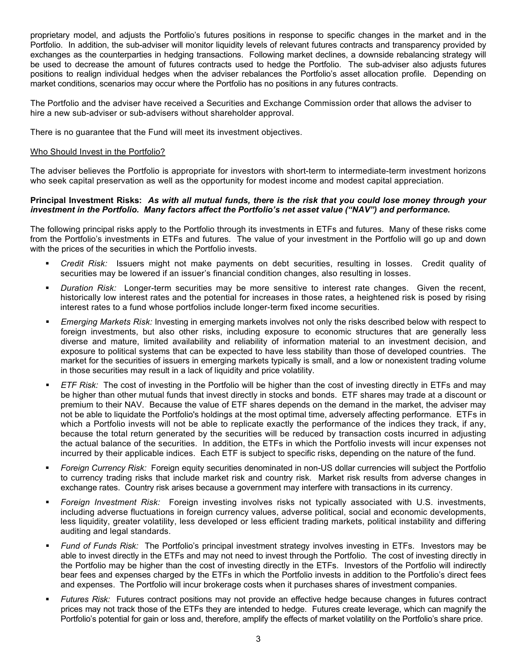proprietary model, and adjusts the Portfolio's futures positions in response to specific changes in the market and in the Portfolio. In addition, the sub-adviser will monitor liquidity levels of relevant futures contracts and transparency provided by exchanges as the counterparties in hedging transactions. Following market declines, a downside rebalancing strategy will be used to decrease the amount of futures contracts used to hedge the Portfolio. The sub-adviser also adjusts futures positions to realign individual hedges when the adviser rebalances the Portfolio's asset allocation profile. Depending on market conditions, scenarios may occur where the Portfolio has no positions in any futures contracts.

The Portfolio and the adviser have received a Securities and Exchange Commission order that allows the adviser to hire a new sub-adviser or sub-advisers without shareholder approval.

There is no guarantee that the Fund will meet its investment objectives.

#### Who Should Invest in the Portfolio?

The adviser believes the Portfolio is appropriate for investors with short-term to intermediate-term investment horizons who seek capital preservation as well as the opportunity for modest income and modest capital appreciation.

#### Principal Investment Risks: As with all mutual funds, there is the risk that you could lose money through your *investment in the Portfolio. Many factors affect the Portfolio's net asset value ("NAV") and performance.*

The following principal risks apply to the Portfolio through its investments in ETFs and futures. Many of these risks come from the Portfolio's investments in ETFs and futures. The value of your investment in the Portfolio will go up and down with the prices of the securities in which the Portfolio invests.

- *Credit Risk:* Issuers might not make payments on debt securities, resulting in losses. Credit quality of securities may be lowered if an issuer's financial condition changes, also resulting in losses.
- *Duration Risk:* Longer-term securities may be more sensitive to interest rate changes. Given the recent, historically low interest rates and the potential for increases in those rates, a heightened risk is posed by rising interest rates to a fund whose portfolios include longer-term fixed income securities.
- *Emerging Markets Risk:* Investing in emerging markets involves not only the risks described below with respect to foreign investments, but also other risks, including exposure to economic structures that are generally less diverse and mature, limited availability and reliability of information material to an investment decision, and exposure to political systems that can be expected to have less stability than those of developed countries. The market for the securities of issuers in emerging markets typically is small, and a low or nonexistent trading volume in those securities may result in a lack of liquidity and price volatility.
- *ETF Risk:* The cost of investing in the Portfolio will be higher than the cost of investing directly in ETFs and may be higher than other mutual funds that invest directly in stocks and bonds. ETF shares may trade at a discount or premium to their NAV. Because the value of ETF shares depends on the demand in the market, the adviser may not be able to liquidate the Portfolio's holdings at the most optimal time, adversely affecting performance. ETFs in which a Portfolio invests will not be able to replicate exactly the performance of the indices they track, if any, because the total return generated by the securities will be reduced by transaction costs incurred in adjusting the actual balance of the securities. In addition, the ETFs in which the Portfolio invests will incur expenses not incurred by their applicable indices. Each ETF is subject to specific risks, depending on the nature of the fund.
- *Foreign Currency Risk:* Foreign equity securities denominated in non-US dollar currencies will subject the Portfolio to currency trading risks that include market risk and country risk. Market risk results from adverse changes in exchange rates. Country risk arises because a government may interfere with transactions in its currency.
- *Foreign Investment Risk:* Foreign investing involves risks not typically associated with U.S. investments, including adverse fluctuations in foreign currency values, adverse political, social and economic developments, less liquidity, greater volatility, less developed or less efficient trading markets, political instability and differing auditing and legal standards.
- *Fund of Funds Risk:* The Portfolio's principal investment strategy involves investing in ETFs. Investors may be able to invest directly in the ETFs and may not need to invest through the Portfolio. The cost of investing directly in the Portfolio may be higher than the cost of investing directly in the ETFs. Investors of the Portfolio will indirectly bear fees and expenses charged by the ETFs in which the Portfolio invests in addition to the Portfolio's direct fees and expenses. The Portfolio will incur brokerage costs when it purchases shares of investment companies.
- *Futures Risk:* Futures contract positions may not provide an effective hedge because changes in futures contract prices may not track those of the ETFs they are intended to hedge. Futures create leverage, which can magnify the Portfolio's potential for gain or loss and, therefore, amplify the effects of market volatility on the Portfolio's share price.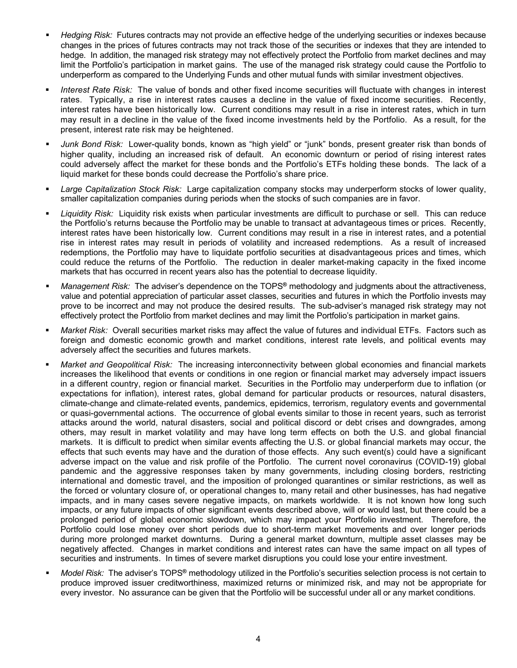- *Hedging Risk:* Futures contracts may not provide an effective hedge of the underlying securities or indexes because changes in the prices of futures contracts may not track those of the securities or indexes that they are intended to hedge. In addition, the managed risk strategy may not effectively protect the Portfolio from market declines and may limit the Portfolio's participation in market gains. The use of the managed risk strategy could cause the Portfolio to underperform as compared to the Underlying Funds and other mutual funds with similar investment objectives.
- *Interest Rate Risk:* The value of bonds and other fixed income securities will fluctuate with changes in interest rates. Typically, a rise in interest rates causes a decline in the value of fixed income securities. Recently, interest rates have been historically low. Current conditions may result in a rise in interest rates, which in turn may result in a decline in the value of the fixed income investments held by the Portfolio. As a result, for the present, interest rate risk may be heightened.
- *Junk Bond Risk:* Lower-quality bonds, known as "high yield" or "junk" bonds, present greater risk than bonds of higher quality, including an increased risk of default. An economic downturn or period of rising interest rates could adversely affect the market for these bonds and the Portfolio's ETFs holding these bonds. The lack of a liquid market for these bonds could decrease the Portfolio's share price.
- *Large Capitalization Stock Risk:* Large capitalization company stocks may underperform stocks of lower quality, smaller capitalization companies during periods when the stocks of such companies are in favor.
- *Liquidity Risk:* Liquidity risk exists when particular investments are difficult to purchase or sell. This can reduce the Portfolio's returns because the Portfolio may be unable to transact at advantageous times or prices. Recently, interest rates have been historically low. Current conditions may result in a rise in interest rates, and a potential rise in interest rates may result in periods of volatility and increased redemptions. As a result of increased redemptions, the Portfolio may have to liquidate portfolio securities at disadvantageous prices and times, which could reduce the returns of the Portfolio. The reduction in dealer market-making capacity in the fixed income markets that has occurred in recent years also has the potential to decrease liquidity.
- *Management Risk:* The adviser's dependence on the TOPS**®** methodology and judgments about the attractiveness, value and potential appreciation of particular asset classes, securities and futures in which the Portfolio invests may prove to be incorrect and may not produce the desired results. The sub-adviser's managed risk strategy may not effectively protect the Portfolio from market declines and may limit the Portfolio's participation in market gains.
- *Market Risk:* Overall securities market risks may affect the value of futures and individual ETFs. Factors such as foreign and domestic economic growth and market conditions, interest rate levels, and political events may adversely affect the securities and futures markets.
- *Market and Geopolitical Risk:* The increasing interconnectivity between global economies and financial markets increases the likelihood that events or conditions in one region or financial market may adversely impact issuers in a different country, region or financial market. Securities in the Portfolio may underperform due to inflation (or expectations for inflation), interest rates, global demand for particular products or resources, natural disasters, climate-change and climate-related events, pandemics, epidemics, terrorism, regulatory events and governmental or quasi-governmental actions. The occurrence of global events similar to those in recent years, such as terrorist attacks around the world, natural disasters, social and political discord or debt crises and downgrades, among others, may result in market volatility and may have long term effects on both the U.S. and global financial markets. It is difficult to predict when similar events affecting the U.S. or global financial markets may occur, the effects that such events may have and the duration of those effects. Any such event(s) could have a significant adverse impact on the value and risk profile of the Portfolio. The current novel coronavirus (COVID-19) global pandemic and the aggressive responses taken by many governments, including closing borders, restricting international and domestic travel, and the imposition of prolonged quarantines or similar restrictions, as well as the forced or voluntary closure of, or operational changes to, many retail and other businesses, has had negative impacts, and in many cases severe negative impacts, on markets worldwide. It is not known how long such impacts, or any future impacts of other significant events described above, will or would last, but there could be a prolonged period of global economic slowdown, which may impact your Portfolio investment. Therefore, the Portfolio could lose money over short periods due to short-term market movements and over longer periods during more prolonged market downturns. During a general market downturn, multiple asset classes may be negatively affected. Changes in market conditions and interest rates can have the same impact on all types of securities and instruments. In times of severe market disruptions you could lose your entire investment.
- *Model Risk:* The adviser's TOPS**®** methodology utilized in the Portfolio's securities selection process is not certain to produce improved issuer creditworthiness, maximized returns or minimized risk, and may not be appropriate for every investor. No assurance can be given that the Portfolio will be successful under all or any market conditions.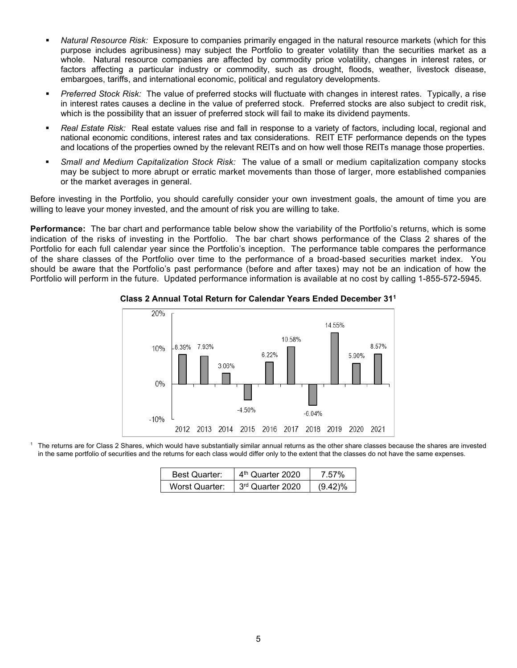- *Natural Resource Risk:* Exposure to companies primarily engaged in the natural resource markets (which for this purpose includes agribusiness) may subject the Portfolio to greater volatility than the securities market as a whole. Natural resource companies are affected by commodity price volatility, changes in interest rates, or factors affecting a particular industry or commodity, such as drought, floods, weather, livestock disease, embargoes, tariffs, and international economic, political and regulatory developments.
- *Preferred Stock Risk:* The value of preferred stocks will fluctuate with changes in interest rates. Typically, a rise in interest rates causes a decline in the value of preferred stock. Preferred stocks are also subject to credit risk, which is the possibility that an issuer of preferred stock will fail to make its dividend payments.
- *Real Estate Risk:* Real estate values rise and fall in response to a variety of factors, including local, regional and national economic conditions, interest rates and tax considerations. REIT ETF performance depends on the types and locations of the properties owned by the relevant REITs and on how well those REITs manage those properties.
- *Small and Medium Capitalization Stock Risk:* The value of a small or medium capitalization company stocks may be subject to more abrupt or erratic market movements than those of larger, more established companies or the market averages in general.

Before investing in the Portfolio, you should carefully consider your own investment goals, the amount of time you are willing to leave your money invested, and the amount of risk you are willing to take.

**Performance:** The bar chart and performance table below show the variability of the Portfolio's returns, which is some indication of the risks of investing in the Portfolio. The bar chart shows performance of the Class 2 shares of the Portfolio for each full calendar year since the Portfolio's inception. The performance table compares the performance of the share classes of the Portfolio over time to the performance of a broad-based securities market index. You should be aware that the Portfolio's past performance (before and after taxes) may not be an indication of how the Portfolio will perform in the future. Updated performance information is available at no cost by calling 1-855-572-5945.



#### **Class 2 Annual Total Return for Calendar Years Ended December 311**

<sup>1</sup> The returns are for Class 2 Shares, which would have substantially similar annual returns as the other share classes because the shares are invested in the same portfolio of securities and the returns for each class would differ only to the extent that the classes do not have the same expenses.

| <b>Best Quarter:</b>  | 4 <sup>th</sup> Quarter 2020 | 7.57%      |
|-----------------------|------------------------------|------------|
| <b>Worst Quarter:</b> | 3rd Quarter 2020             | $(9.42)\%$ |